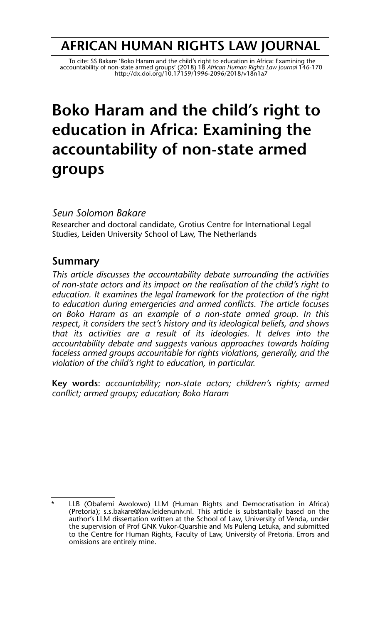## **AFRICAN HUMAN RIGHTS LAW JOURNAL**

To cite: SS Bakare 'Boko Haram and the child's right to education in Africa: Examining the<br>accountability of non-state armed groups' (2018) 18 *African Human Rights Law Journal* 146-170<br>http://dx.doi.org/10.17159/1996-2096

# **Boko Haram and the child's right to education in Africa: Examining the accountability of non-state armed groups**

*Seun Solomon Bakare*

Researcher and doctoral candidate, Grotius Centre for International Legal Studies, Leiden University School of Law, The Netherlands

## **Summary**

*This article discusses the accountability debate surrounding the activities of non-state actors and its impact on the realisation of the child's right to education. It examines the legal framework for the protection of the right to education during emergencies and armed conflicts. The article focuses on Boko Haram as an example of a non-state armed group. In this respect, it considers the sect's history and its ideological beliefs, and shows that its activities are a result of its ideologies. It delves into the accountability debate and suggests various approaches towards holding faceless armed groups accountable for rights violations, generally, and the violation of the child's right to education, in particular.*

**Key words**: *accountability; non-state actors; children's rights; armed conflict; armed groups; education; Boko Haram*

LLB (Obafemi Awolowo) LLM (Human Rights and Democratisation in Africa) (Pretoria); s.s.bakare@law.leidenuniv.nl. This article is substantially based on the author's LLM dissertation written at the School of Law, University of Venda, under the supervision of Prof GNK Vukor-Quarshie and Ms Puleng Letuka, and submitted to the Centre for Human Rights, Faculty of Law, University of Pretoria. Errors and omissions are entirely mine.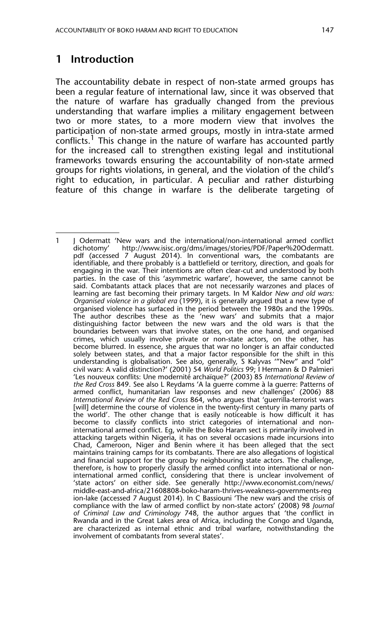## **1 Introduction**

The accountability debate in respect of non-state armed groups has been a regular feature of international law, since it was observed that the nature of warfare has gradually changed from the previous understanding that warfare implies a military engagement between two or more states, to a more modern view that involves the participation of non-state armed groups, mostly in intra-state armed conflicts.<sup>1</sup> This change in the nature of warfare has accounted partly for the increased call to strengthen existing legal and institutional frameworks towards ensuring the accountability of non-state armed groups for rights violations, in general, and the violation of the child's right to education, in particular. A peculiar and rather disturbing feature of this change in warfare is the deliberate targeting of

<sup>1</sup> J Odermatt 'New wars and the international/non-international armed conflict dichotomy' http://www.isisc.org/dms/images/stories/PDF/Paper%20Odermatt. pdf (accessed 7 August 2014). In conventional wars, the combatants are identifiable, and there probably is a battlefield or territory, direction, and goals for engaging in the war. Their intentions are often clear-cut and understood by both parties. In the case of this 'asymmetric warfare', however, the same cannot be said. Combatants attack places that are not necessarily warzones and places of learning are fast becoming their primary targets. In M Kaldor *New and old wars: Organised violence in a global era* (1999), it is generally argued that a new type of organised violence has surfaced in the period between the 1980s and the 1990s. The author describes these as the 'new wars' and submits that a major distinguishing factor between the new wars and the old wars is that the boundaries between wars that involve states, on the one hand, and organised crimes, which usually involve private or non-state actors, on the other, has become blurred. In essence, she argues that war no longer is an affair conducted solely between states, and that a major factor responsible for the shift in this understanding is globalisation. See also, generally, S Kalyvas '"New" and "old" civil wars: A valid distinction?' (2001) 54 *World Politics* 99; I Hermann & D Palmieri 'Les nouveux conflits: Une modernité archaïque?' (2003) 85 *International Review of the Red Cross* 849. See also L Reydams 'A la guerre comme à la guerre: Patterns of armed conflict, humanitarian law responses and new challenges' (2006) 88 *International Review of the Red Cross* 864, who argues that 'guerrilla-terrorist wars [will] determine the course of violence in the twenty-first century in many parts of the world'. The other change that is easily noticeable is how difficult it has become to classify conflicts into strict categories of international and noninternational armed conflict. Eg, while the Boko Haram sect is primarily involved in attacking targets within Nigeria, it has on several occasions made incursions into Chad, Cameroon, Niger and Benin where it has been alleged that the sect maintains training camps for its combatants. There are also allegations of logistical and financial support for the group by neighbouring state actors. The challenge, therefore, is how to properly classify the armed conflict into international or noninternational armed conflict, considering that there is unclear involvement of 'state actors' on either side. See generally http://www.economist.com/news/ middle-east-and-africa/21608808-boko-haram-thrives-weakness-governments-reg ion-lake (accessed 7 August 2014). In C Bassiouni 'The new wars and the crisis of compliance with the law of armed conflict by non-state actors' (2008) 98 *Journal of Criminal Law and Criminology* 748, the author argues that 'the conflict in Rwanda and in the Great Lakes area of Africa, including the Congo and Uganda, are characterized as internal ethnic and tribal warfare, notwithstanding the involvement of combatants from several states'.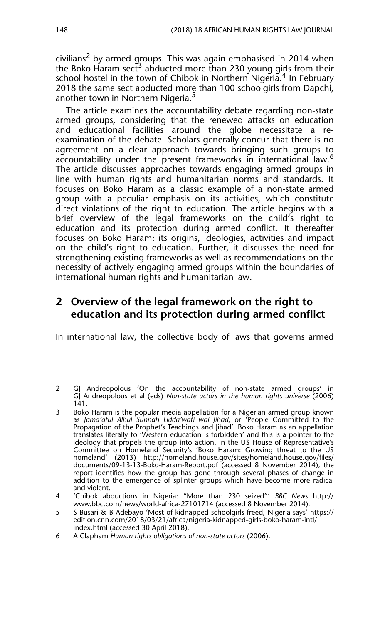civilians<sup>2</sup> by armed groups. This was again emphasised in 2014 when the Boko Haram sect<sup>3</sup> abducted more than 230 young girls from their school hostel in the town of Chibok in Northern Nigeria.<sup>4</sup> In February 2018 the same sect abducted more than 100 schoolgirls from Dapchi, another town in Northern Nigeria.<sup>5</sup>

The article examines the accountability debate regarding non-state armed groups, considering that the renewed attacks on education and educational facilities around the globe necessitate a reexamination of the debate. Scholars generally concur that there is no agreement on a clear approach towards bringing such groups to accountability under the present frameworks in international law.<sup>6</sup> The article discusses approaches towards engaging armed groups in line with human rights and humanitarian norms and standards. It focuses on Boko Haram as a classic example of a non-state armed group with a peculiar emphasis on its activities, which constitute direct violations of the right to education. The article begins with a brief overview of the legal frameworks on the child's right to education and its protection during armed conflict. It thereafter focuses on Boko Haram: its origins, ideologies, activities and impact on the child's right to education. Further, it discusses the need for strengthening existing frameworks as well as recommendations on the necessity of actively engaging armed groups within the boundaries of international human rights and humanitarian law.

## **2 Overview of the legal framework on the right to education and its protection during armed conflict**

In international law, the collective body of laws that governs armed

<sup>2</sup> GJ Andreopolous 'On the accountability of non-state armed groups' in GJ Andreopolous et al (eds) *Non-state actors in the human rights universe* (2006) 141.

<sup>3</sup> Boko Haram is the popular media appellation for a Nigerian armed group known as *Jama'atul Alhul Sunnah Lidda'wati wal Jihad*, or 'People Committed to the Propagation of the Prophet's Teachings and Jihad'. Boko Haram as an appellation translates literally to 'Western education is forbidden' and this is a pointer to the ideology that propels the group into action. In the US House of Representative's Committee on Homeland Security's 'Boko Haram: Growing threat to the US homeland' (2013) http://homeland.house.gov/sites/homeland.house.gov/files/ documents/09-13-13-Boko-Haram-Report.pdf (accessed 8 November 2014), the report identifies how the group has gone through several phases of change in addition to the emergence of splinter groups which have become more radical and violent.

<sup>4 &#</sup>x27;Chibok abductions in Nigeria: "More than 230 seized"' *BBC News* http:// www.bbc.com/news/world-africa-27101714 (accessed 8 November 2014).

<sup>5</sup> S Busari & B Adebayo 'Most of kidnapped schoolgirls freed, Nigeria says' https:// edition.cnn.com/2018/03/21/africa/nigeria-kidnapped-girls-boko-haram-intl/ index.html (accessed 30 April 2018).

<sup>6</sup> A Clapham *Human rights obligations of non-state actors* (2006).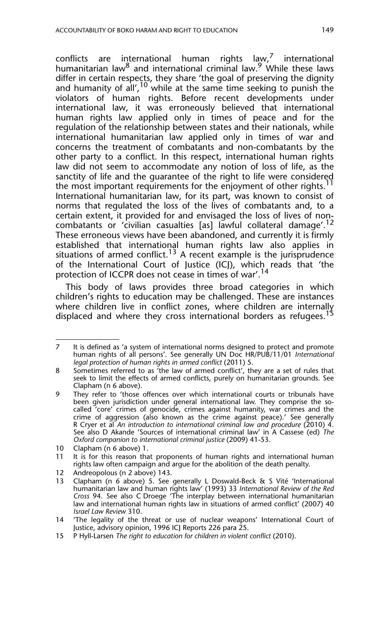conflicts are international human rights law, $^7$  international humanitarian law<sup>8</sup> and international criminal law.<sup>9</sup> While these laws differ in certain respects, they share 'the goal of preserving the dignity and humanity of all',  $10^{\circ}$  while at the same time seeking to punish the violators of human rights. Before recent developments under international law, it was erroneously believed that international human rights law applied only in times of peace and for the regulation of the relationship between states and their nationals, while international humanitarian law applied only in times of war and concerns the treatment of combatants and non-combatants by the other party to a conflict. In this respect, international human rights law did not seem to accommodate any notion of loss of life, as the sanctity of life and the guarantee of the right to life were considered the most important requirements for the enjoyment of other rights.<sup>11</sup> International humanitarian law, for its part, was known to consist of norms that regulated the loss of the lives of combatants and, to a certain extent, it provided for and envisaged the loss of lives of noncombatants or 'civilian casualties [as] lawful collateral damage'.<sup>12</sup> These erroneous views have been abandoned, and currently it is firmly established that international human rights law also applies in situations of armed conflict.<sup>13</sup> A recent example is the jurisprudence of the International Court of Justice (ICJ), which reads that 'the protection of ICCPR does not cease in times of war'.<sup>14</sup>

This body of laws provides three broad categories in which children's rights to education may be challenged. These are instances where children live in conflict zones, where children are internally displaced and where they cross international borders as refugees.<sup>13</sup>

<sup>7</sup> It is defined as 'a system of international norms designed to protect and promote human rights of all persons'. See generally UN Doc HR/PUB/11/01 *International legal protection of human rights in armed conflict* (2011) 5.

<sup>8</sup> Sometimes referred to as 'the law of armed conflict', they are a set of rules that seek to limit the effects of armed conflicts, purely on humanitarian grounds. See Clapham (n 6 above).

<sup>9</sup> They refer to 'those offences over which international courts or tribunals have been given jurisdiction under general international law. They comprise the socalled 'core' crimes of genocide, crimes against humanity, war crimes and the crime of aggression (also known as the crime against peace).' See generally R Cryer et al *An introduction to international criminal law and procedure* (2010) 4. See also D Akande 'Sources of international criminal law' in A Cassese (ed) The *Oxford companion to international criminal justice* (2009) 41-53.

<sup>10</sup> Clapham (n 6 above) 1.

<sup>11</sup> It is for this reason that proponents of human rights and international human rights law often campaign and argue for the abolition of the death penalty.

<sup>12</sup> Andreopolous (n 2 above) 143.

<sup>13</sup> Clapham (n 6 above) 5. See generally L Doswald-Beck & S Vité 'International humanitarian law and human rights law' (1993) 33 *International Review of the Red Cross* 94. See also C Droege 'The interplay between international humanitarian law and international human rights law in situations of armed conflict' (2007) 40 *Israel Law Review* 310.

<sup>14 &#</sup>x27;The legality of the threat or use of nuclear weapons' International Court of Justice, advisory opinion, 1996 ICJ Reports 226 para 25.

<sup>15</sup> P Hyll-Larsen *The right to education for children in violent conflict* (2010).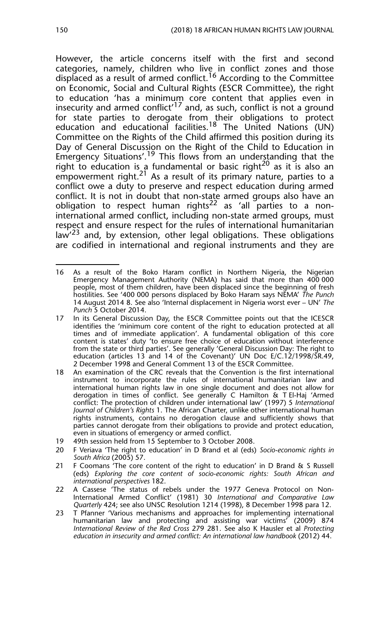However, the article concerns itself with the first and second categories, namely, children who live in conflict zones and those displaced as a result of armed conflict.<sup>16</sup> According to the Committee on Economic, Social and Cultural Rights (ESCR Committee), the right to education 'has a minimum core content that applies even in insecurity and armed conflict' $^{17}$  and, as such, conflict is not a ground for state parties to derogate from their obligations to protect education and educational facilities.18 The United Nations (UN) Committee on the Rights of the Child affirmed this position during its Day of General Discussion on the Right of the Child to Education in Emergency Situations'.<sup>19</sup> This flows from an understanding that the right to education is a fundamental or basic right<sup>20</sup> as it is also an empowerment right.<sup>21</sup> As a result of its primary nature, parties to a conflict owe a duty to preserve and respect education during armed conflict. It is not in doubt that non-state armed groups also have an obligation to respect human rights<sup>22</sup> as 'all parties to a noninternational armed conflict, including non-state armed groups, must respect and ensure respect for the rules of international humanitarian  $\frac{1}{2}$  and, by extension, other legal obligations. These obligations are codified in international and regional instruments and they are

<sup>16</sup> As a result of the Boko Haram conflict in Northern Nigeria, the Nigerian Emergency Management Authority (NEMA) has said that more than 400 000 people, most of them children, have been displaced since the beginning of fresh hostilities. See '400 000 persons displaced by Boko Haram says NEMA' *The Punch* 14 August 2014 8. See also 'Internal displacement in Nigeria worst ever – UN' *The Punch* 5 October 2014.

<sup>17</sup> In its General Discussion Day, the ESCR Committee points out that the ICESCR identifies the 'minimum core content of the right to education protected at all times and of immediate application'. A fundamental obligation of this core content is states' duty 'to ensure free choice of education without interference from the state or third parties'. See generally 'General Discussion Day: The right to education (articles 13 and 14 of the Covenant)' UN Doc E/C.12/1998/SR.49, 2 December 1998 and General Comment 13 of the ESCR Committee.

<sup>18</sup> An examination of the CRC reveals that the Convention is the first international instrument to incorporate the rules of international humanitarian law and international human rights law in one single document and does not allow for derogation in times of conflict. See generally C Hamilton & T El-Haj 'Armed conflict: The protection of children under international law' (1997) 5 *International Journal of Children's Rights* 1. The African Charter, unlike other international human rights instruments, contains no derogation clause and sufficiently shows that parties cannot derogate from their obligations to provide and protect education, even in situations of emergency or armed conflict.

<sup>19 49</sup>th session held from 15 September to 3 October 2008.

<sup>20</sup> F Veriava 'The right to education' in D Brand et al (eds) *Socio-economic rights in South Africa* (2005) 57.

<sup>21</sup> F Coomans 'The core content of the right to education' in D Brand & S Russell (eds) *Exploring the core content of socio-economic rights: South African and international perspectives* 182.

<sup>22</sup> A Cassese 'The status of rebels under the 1977 Geneva Protocol on Non-International Armed Conflict' (1981) 30 *International and Comparative Law Quarterly* 424; see also UNSC Resolution 1214 (1998), 8 December 1998 para 12.

<sup>23</sup> T Pfanner 'Various mechanisms and approaches for implementing international humanitarian law and protecting and assisting war victims' (2009) 874 *International Review of the Red Cross* 279 281. See also K Hausler et al *Protecting education in insecurity and armed conflict: An international law handbook* (2012) 44.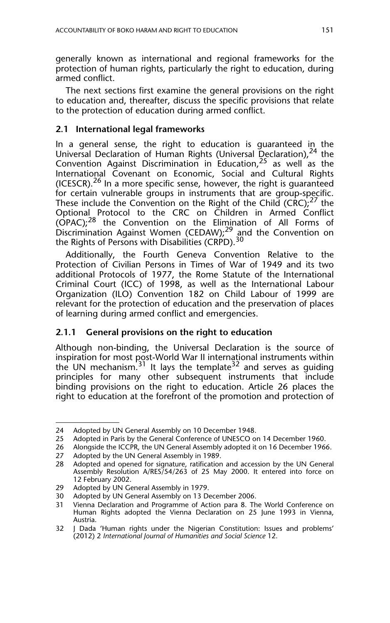generally known as international and regional frameworks for the protection of human rights, particularly the right to education, during armed conflict.

The next sections first examine the general provisions on the right to education and, thereafter, discuss the specific provisions that relate to the protection of education during armed conflict.

## **2.1 International legal frameworks**

In a general sense, the right to education is guaranteed in the Universal Declaration of Human Rights (Universal Declaration), <sup>24</sup> the Convention Against Discrimination in Education,25 as well as the International Covenant on Economic, Social and Cultural Rights (ICESCR).<sup>26</sup> In a more specific sense, however, the right is quaranteed for certain vulnerable groups in instruments that are group-specific. These include the Convention on the Right of the Child (CRC); $^{27}$  the Optional Protocol to the CRC on Children in Armed Conflict (OPAC); $^{28}$  the Convention on the Elimination of All Forms of Discrimination Against Women (CEDAW);<sup>29</sup> and the Convention on the Rights of Persons with Disabilities (CRPD).<sup>30</sup>

Additionally, the Fourth Geneva Convention Relative to the Protection of Civilian Persons in Times of War of 1949 and its two additional Protocols of 1977, the Rome Statute of the International Criminal Court (ICC) of 1998, as well as the International Labour Organization (ILO) Convention 182 on Child Labour of 1999 are relevant for the protection of education and the preservation of places of learning during armed conflict and emergencies.

## **2.1.1 General provisions on the right to education**

Although non-binding, the Universal Declaration is the source of inspiration for most post-World War II international instruments within the UN mechanism.<sup>31</sup> It lays the template<sup>32</sup> and serves as guiding principles for many other subsequent instruments that include binding provisions on the right to education. Article 26 places the right to education at the forefront of the promotion and protection of

<sup>24</sup> Adopted by UN General Assembly on 10 December 1948.

<sup>25</sup> Adopted in Paris by the General Conference of UNESCO on 14 December 1960.

<sup>26</sup> Alongside the ICCPR, the UN General Assembly adopted it on 16 December 1966.

<sup>27</sup> Adopted by the UN General Assembly in 1989.

<sup>28</sup> Adopted and opened for signature, ratification and accession by the UN General Assembly Resolution A/RES/54/263 of 25 May 2000. It entered into force on 12 February 2002.

<sup>29</sup> Adopted by UN General Assembly in 1979.

<sup>30</sup> Adopted by UN General Assembly on 13 December 2006.

<sup>31</sup> Vienna Declaration and Programme of Action para 8. The World Conference on Human Rights adopted the Vienna Declaration on 25 June 1993 in Vienna, Austria.

<sup>32</sup> J Dada 'Human rights under the Nigerian Constitution: Issues and problems' (2012) 2 *International Journal of Humanities and Social Science* 12.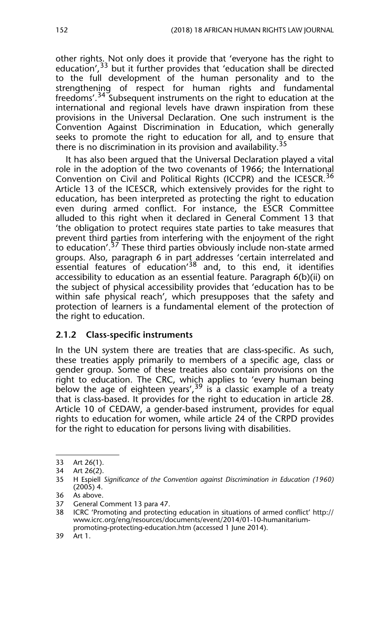other rights. Not only does it provide that 'everyone has the right to education',  $33$  but it further provides that 'education shall be directed to the full development of the human personality and to the strengthening of respect for human rights and fundamental freedoms'.34 Subsequent instruments on the right to education at the international and regional levels have drawn inspiration from these provisions in the Universal Declaration. One such instrument is the Convention Against Discrimination in Education, which generally seeks to promote the right to education for all, and to ensure that there is no discrimination in its provision and availability.<sup>35</sup>

It has also been argued that the Universal Declaration played a vital role in the adoption of the two covenants of 1966; the International Convention on Civil and Political Rights (ICCPR) and the ICESCR.<sup>36</sup> Article 13 of the ICESCR, which extensively provides for the right to education, has been interpreted as protecting the right to education even during armed conflict. For instance, the ESCR Committee alluded to this right when it declared in General Comment 13 that 'the obligation to protect requires state parties to take measures that prevent third parties from interfering with the enjoyment of the right to education'.<sup>37</sup> These third parties obviously include non-state armed groups. Also, paragraph 6 in part addresses 'certain interrelated and essential features of education<sup> $38$ </sup> and, to this end, it identifies accessibility to education as an essential feature. Paragraph 6(b)(ii) on the subject of physical accessibility provides that 'education has to be within safe physical reach', which presupposes that the safety and protection of learners is a fundamental element of the protection of the right to education.

#### **2.1.2 Class-specific instruments**

In the UN system there are treaties that are class-specific. As such, these treaties apply primarily to members of a specific age, class or gender group. Some of these treaties also contain provisions on the right to education. The CRC, which applies to 'every human being below the age of eighteen years',  $39$  is a classic example of a treaty that is class-based. It provides for the right to education in article 28. Article 10 of CEDAW, a gender-based instrument, provides for equal rights to education for women, while article 24 of the CRPD provides for the right to education for persons living with disabilities.

<sup>33</sup> Art 26(1).

<sup>34</sup> Art 26(2).

<sup>35</sup> H Espiell *Significance of the Convention against Discrimination in Education (1960)* (2005) 4.

<sup>36</sup> As above.

<sup>37</sup> General Comment 13 para 47.

<sup>38</sup> ICRC 'Promoting and protecting education in situations of armed conflict' http:// www.icrc.org/eng/resources/documents/event/2014/01-10-humanitariumpromoting-protecting-education.htm (accessed 1 June 2014).

<sup>39</sup> Art 1.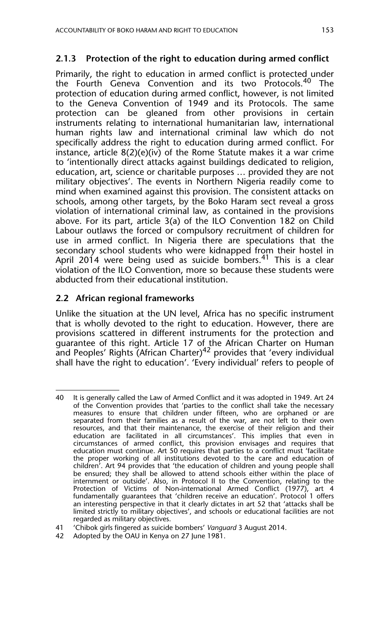## **2.1.3 Protection of the right to education during armed conflict**

Primarily, the right to education in armed conflict is protected under the Fourth Geneva Convention and its two Protocols.<sup>40</sup> The protection of education during armed conflict, however, is not limited to the Geneva Convention of 1949 and its Protocols. The same protection can be gleaned from other provisions in certain instruments relating to international humanitarian law, international human rights law and international criminal law which do not specifically address the right to education during armed conflict. For instance, article 8(2)(e)(iv) of the Rome Statute makes it a war crime to 'intentionally direct attacks against buildings dedicated to religion, education, art, science or charitable purposes … provided they are not military objectives'. The events in Northern Nigeria readily come to mind when examined against this provision. The consistent attacks on schools, among other targets, by the Boko Haram sect reveal a gross violation of international criminal law, as contained in the provisions above. For its part, article 3(a) of the ILO Convention 182 on Child Labour outlaws the forced or compulsory recruitment of children for use in armed conflict. In Nigeria there are speculations that the secondary school students who were kidnapped from their hostel in April 2014 were being used as suicide bombers.<sup>41</sup> This is a clear violation of the ILO Convention, more so because these students were abducted from their educational institution.

## **2.2 African regional frameworks**

Unlike the situation at the UN level, Africa has no specific instrument that is wholly devoted to the right to education. However, there are provisions scattered in different instruments for the protection and guarantee of this right. Article 17 of the African Charter on Human guarance of this rights raced in Figure 21 provides that 'every individual shall have the right to education'. 'Every individual' refers to people of

<sup>40</sup> It is generally called the Law of Armed Conflict and it was adopted in 1949. Art 24 of the Convention provides that 'parties to the conflict shall take the necessary measures to ensure that children under fifteen, who are orphaned or are separated from their families as a result of the war, are not left to their own resources, and that their maintenance, the exercise of their religion and their education are facilitated in all circumstances'. This implies that even in circumstances of armed conflict, this provision envisages and requires that education must continue. Art 50 requires that parties to a conflict must 'facilitate the proper working of all institutions devoted to the care and education of children'. Art 94 provides that 'the education of children and young people shall be ensured; they shall be allowed to attend schools either within the place of internment or outside'. Also, in Protocol II to the Convention, relating to the Protection of Victims of Non-international Armed Conflict (1977), art 4 fundamentally quarantees that 'children receive an education'. Protocol 1 offers an interesting perspective in that it clearly dictates in art 52 that 'attacks shall be limited strictly to military objectives', and schools or educational facilities are not regarded as military objectives.

<sup>41 &#</sup>x27;Chibok girls fingered as suicide bombers' *Vanguard* 3 August 2014.

<sup>42</sup> Adopted by the OAU in Kenya on 27 June 1981.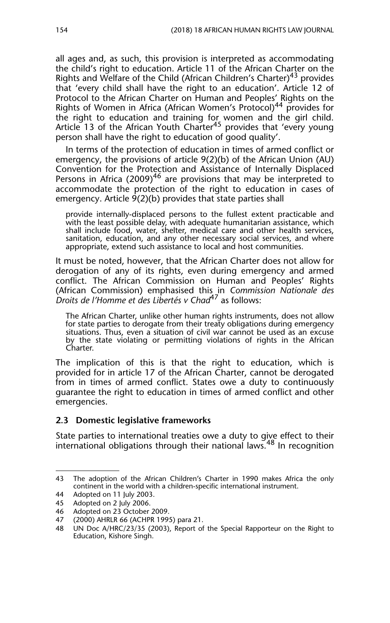all ages and, as such, this provision is interpreted as accommodating the child's right to education. Article 11 of the African Charter on the Rights and Welfare of the Child (African Children's Charter)<sup>43</sup> provides that 'every child shall have the right to an education'. Article 12 of Protocol to the African Charter on Human and Peoples' Rights on the Rights of Women in Africa (African Women's Protocol)44 provides for the right to education and training for women and the girl child. Article 13 of the African Youth Charter<sup>45</sup> provides that 'every young person shall have the right to education of good quality'.

In terms of the protection of education in times of armed conflict or emergency, the provisions of article 9(2)(b) of the African Union (AU) Convention for the Protection and Assistance of Internally Displaced Persons in Africa (2009)<sup>46</sup> are provisions that may be interpreted to accommodate the protection of the right to education in cases of emergency. Article 9(2)(b) provides that state parties shall

provide internally-displaced persons to the fullest extent practicable and with the least possible delay, with adequate humanitarian assistance, which shall include food, water, shelter, medical care and other health services, sanitation, education, and any other necessary social services, and where appropriate, extend such assistance to local and host communities.

It must be noted, however, that the African Charter does not allow for derogation of any of its rights, even during emergency and armed conflict. The African Commission on Human and Peoples' Rights (African Commission) emphasised this in *Commission Nationale des Droits de l'Homme et des Libertés v Chad*47 as follows:

The African Charter, unlike other human rights instruments, does not allow for state parties to derogate from their treaty obligations during emergency situations. Thus, even a situation of civil war cannot be used as an excuse by the state violating or permitting violations of rights in the African Charter.

The implication of this is that the right to education, which is provided for in article 17 of the African Charter, cannot be derogated from in times of armed conflict. States owe a duty to continuously guarantee the right to education in times of armed conflict and other emergencies.

#### **2.3 Domestic legislative frameworks**

State parties to international treaties owe a duty to give effect to their international obligations through their national laws.<sup>48</sup> In recognition

<sup>43</sup> The adoption of the African Children's Charter in 1990 makes Africa the only continent in the world with a children-specific international instrument.

<sup>44</sup> Adopted on 11 July 2003.<br>45 Adopted on 2 July 2006.

Adopted on 2 July 2006.

<sup>46</sup> Adopted on 23 October 2009.

<sup>47 (2000)</sup> AHRLR 66 (ACHPR 1995) para 21.

UN Doc A/HRC/23/35 (2003), Report of the Special Rapporteur on the Right to Education, Kishore Singh.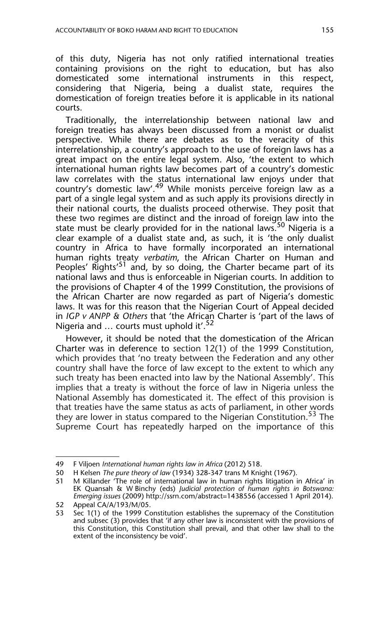of this duty, Nigeria has not only ratified international treaties containing provisions on the right to education, but has also domesticated some international instruments in this respect, considering that Nigeria, being a dualist state, requires the domestication of foreign treaties before it is applicable in its national courts.

Traditionally, the interrelationship between national law and foreign treaties has always been discussed from a monist or dualist perspective. While there are debates as to the veracity of this interrelationship, a country's approach to the use of foreign laws has a great impact on the entire legal system. Also, 'the extent to which international human rights law becomes part of a country's domestic law correlates with the status international law enjoys under that country's domestic law'.<sup>49</sup> While monists perceive foreign law as a part of a single legal system and as such apply its provisions directly in their national courts, the dualists proceed otherwise. They posit that these two regimes are distinct and the inroad of foreign law into the state must be clearly provided for in the national laws.<sup>50</sup> Nigeria is a clear example of a dualist state and, as such, it is 'the only dualist country in Africa to have formally incorporated an international human rights treaty *verbatim*, the African Charter on Human and Peoples' Rights'<sup>51</sup> and, by so doing, the Charter became part of its national laws and thus is enforceable in Nigerian courts. In addition to the provisions of Chapter 4 of the 1999 Constitution, the provisions of the African Charter are now regarded as part of Nigeria's domestic laws. It was for this reason that the Nigerian Court of Appeal decided in *IGP v ANPP & Others* that 'the African Charter is 'part of the laws of Nigeria and ... courts must uphold it'.<sup>52</sup>

However, it should be noted that the domestication of the African Charter was in deference to section 12(1) of the 1999 Constitution, which provides that 'no treaty between the Federation and any other country shall have the force of law except to the extent to which any such treaty has been enacted into law by the National Assembly'. This implies that a treaty is without the force of law in Nigeria unless the National Assembly has domesticated it. The effect of this provision is that treaties have the same status as acts of parliament, in other words they are lower in status compared to the Nigerian Constitution.<sup>53</sup> The Supreme Court has repeatedly harped on the importance of this

<sup>49</sup> F Viljoen *International human rights law in Africa* (2012) 518.

<sup>50</sup> H Kelsen *The pure theory of law* (1934) 328-347 trans M Knight (1967).

<sup>51</sup> M Killander 'The role of international law in human rights litigation in Africa' in EK Quansah & W Binchy (eds) *Judicial protection of human rights in Botswana: Emerging issues* (2009) http://ssrn.com/abstract=1438556 (accessed 1 April 2014).

<sup>52</sup> Appeal CA/A/193/M/05.

<sup>53</sup> Sec 1(1) of the 1999 Constitution establishes the supremacy of the Constitution and subsec (3) provides that 'if any other law is inconsistent with the provisions of this Constitution, this Constitution shall prevail, and that other law shall to the extent of the inconsistency be void'.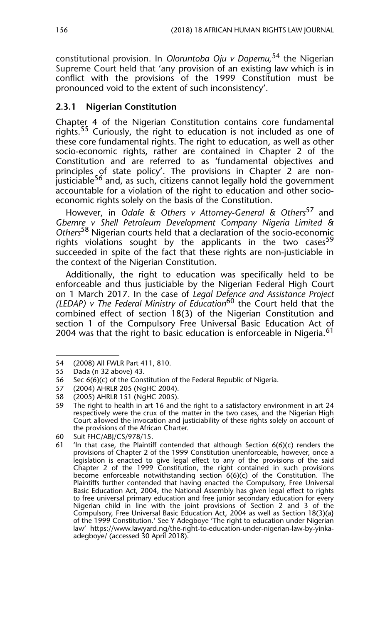constitutional provision. In *Oloruntoba Oju v Dopemu,* 54 the Nigerian Supreme Court held that 'any provision of an existing law which is in conflict with the provisions of the 1999 Constitution must be pronounced void to the extent of such inconsistency'.

## **2.3.1 Nigerian Constitution**

Chapter 4 of the Nigerian Constitution contains core fundamental rights.<sup>55</sup> Curiously, the right to education is not included as one of these core fundamental rights. The right to education, as well as other socio-economic rights, rather are contained in Chapter 2 of the Constitution and are referred to as 'fundamental objectives and principles of state policy'. The provisions in Chapter 2 are nonjusticiable<sup>56</sup> and, as such, citizens cannot legally hold the government accountable for a violation of the right to education and other socioeconomic rights solely on the basis of the Constitution.

However, in *Odafe & Others v Attorney-General & Others*<sup>57</sup> and *Gbemre v Shell Petroleum Development Company Nigeria Limited & Others*58 Nigerian courts held that a declaration of the socio-economic rights violations sought by the applicants in the two cases<sup>59</sup> succeeded in spite of the fact that these rights are non-justiciable in the context of the Nigerian Constitution**.** 

Additionally, the right to education was specifically held to be enforceable and thus justiciable by the Nigerian Federal High Court on 1 March 2017. In the case of *Legal Defence and Assistance Project (LEDAP) v The Federal Ministry of Education*60 the Court held that the combined effect of section 18(3) of the Nigerian Constitution and section 1 of the Compulsory Free Universal Basic Education Act of 2004 was that the right to basic education is enforceable in Nigeria.<sup>61</sup>

<sup>54 (2008)</sup> All FWLR Part 411, 810.

<sup>55</sup> Dada (n 32 above) 43.<br>56 Sec 6(6)(c) of the Cons

Sec  $6(6)(c)$  of the Constitution of the Federal Republic of Nigeria.

<sup>57 (2004)</sup> AHRLR 205 (NgHC 2004).

<sup>58 (2005)</sup> AHRLR 151 (NgHC 2005).<br>59 The right to health in art 16 and

The right to health in art 16 and the right to a satisfactory environment in art 24 respectively were the crux of the matter in the two cases, and the Nigerian High Court allowed the invocation and justiciability of these rights solely on account of the provisions of the African Charter.

<sup>60</sup> Suit FHC/ABJ/CS/978/15.

<sup>61 &#</sup>x27;In that case, the Plaintiff contended that although Section  $6(6)(c)$  renders the provisions of Chapter 2 of the 1999 Constitution unenforceable, however, once a legislation is enacted to give legal effect to any of the provisions of the said Chapter 2 of the 1999 Constitution, the right contained in such provisions become enforceable notwithstanding section  $6(6)(c)$  of the Constitution. The Plaintiffs further contended that having enacted the Compulsory, Free Universal Basic Education Act, 2004, the National Assembly has given legal effect to rights to free universal primary education and free junior secondary education for every Nigerian child in line with the joint provisions of Section 2 and 3 of the Compulsory, Free Universal Basic Education Act, 2004 as well as Section 18(3)(a} of the 1999 Constitution.' See Y Adegboye 'The right to education under Nigerian law' https://www.lawyard.ng/the-right-to-education-under-nigerian-law-by-yinkaadegboye/ (accessed 30 April 2018).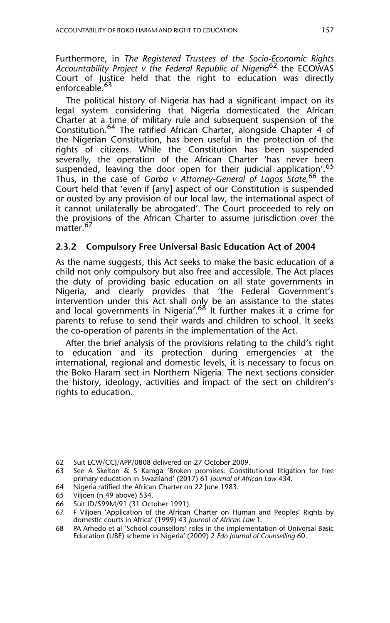Furthermore, in *The Registered Trustees of the Socio-Economic Rights Accountability Project v the Federal Republic of Nigeria*62 the ECOWAS Court of Justice held that the right to education was directly enforceable.<sup>63</sup>

The political history of Nigeria has had a significant impact on its legal system considering that Nigeria domesticated the African Charter at a time of military rule and subsequent suspension of the Constitution.<sup>64</sup> The ratified African Charter, alongside Chapter 4 of the Nigerian Constitution, has been useful in the protection of the rights of citizens. While the Constitution has been suspended severally, the operation of the African Charter 'has never been suspended, leaving the door open for their judicial application'.<sup>65</sup> Thus, in the case of *Garba v Attorney-General of Lagos State,*66 the Court held that 'even if [any] aspect of our Constitution is suspended or ousted by any provision of our local law, the international aspect of it cannot unilaterally be abrogated'. The Court proceeded to rely on the provisions of the African Charter to assume jurisdiction over the matter.<sup>67</sup>

#### **2.3.2 Compulsory Free Universal Basic Education Act of 2004**

As the name suggests, this Act seeks to make the basic education of a child not only compulsory but also free and accessible. The Act places the duty of providing basic education on all state governments in Nigeria, and clearly provides that 'the Federal Government's intervention under this Act shall only be an assistance to the states and local governments in Nigeria'.<sup>68</sup> It further makes it a crime for parents to refuse to send their wards and children to school. It seeks the co-operation of parents in the implementation of the Act.

After the brief analysis of the provisions relating to the child's right to education and its protection during emergencies at the international, regional and domestic levels, it is necessary to focus on the Boko Haram sect in Northern Nigeria. The next sections consider the history, ideology, activities and impact of the sect on children's rights to education.

64 Nigeria ratified the African Charter on 22 June 1983.

<sup>62</sup> Suit ECW/CCJ/APP/0808 delivered on 27 October 2009.

<sup>63</sup> See A Skelton & S Kamga 'Broken promises: Constitutional litigation for free primary education in Swaziland' (2017) 61 *Journal of African Law* 434.

<sup>65</sup> Viljoen (n 49 above) 534.

<sup>66</sup> Suit ID/599M/91 (31 October 1991).

<sup>67</sup> F Viljoen 'Application of the African Charter on Human and Peoples' Rights by domestic courts in Africa' (1999) 43 *Journal of African Law* 1.

<sup>68</sup> PA Arhedo et al 'School counsellors' roles in the implementation of Universal Basic Education (UBE) scheme in Nigeria' (2009) 2 *Edo Journal of Counselling* 60.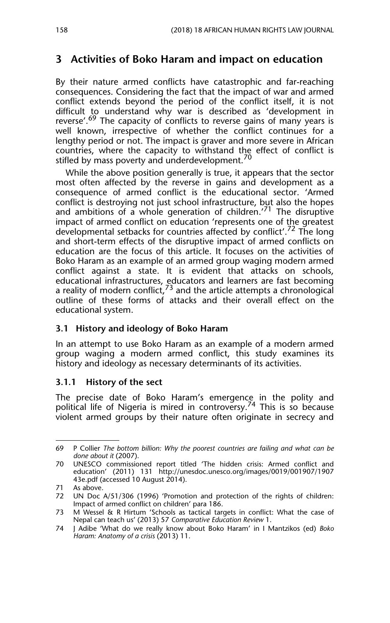## **3 Activities of Boko Haram and impact on education**

By their nature armed conflicts have catastrophic and far-reaching consequences. Considering the fact that the impact of war and armed conflict extends beyond the period of the conflict itself, it is not difficult to understand why war is described as 'development in reverse'.<sup>69</sup> The capacity of conflicts to reverse gains of many years is well known, irrespective of whether the conflict continues for a lengthy period or not. The impact is graver and more severe in African countries, where the capacity to withstand the effect of conflict is stifled by mass poverty and underdevelopment.<sup>70</sup>

While the above position generally is true, it appears that the sector most often affected by the reverse in gains and development as a consequence of armed conflict is the educational sector. 'Armed conflict is destroying not just school infrastructure, but also the hopes and ambitions of a whole generation of children.<sup> $71$ </sup> The disruptive impact of armed conflict on education 'represents one of the greatest developmental setbacks for countries affected by conflict'.<sup>72</sup> The long and short-term effects of the disruptive impact of armed conflicts on education are the focus of this article. It focuses on the activities of Boko Haram as an example of an armed group waging modern armed conflict against a state. It is evident that attacks on schools, educational infrastructures, educators and learners are fast becoming a reality of modern conflict,  $7^3$  and the article attempts a chronological outline of these forms of attacks and their overall effect on the educational system.

## **3.1 History and ideology of Boko Haram**

In an attempt to use Boko Haram as an example of a modern armed group waging a modern armed conflict, this study examines its history and ideology as necessary determinants of its activities.

## **3.1.1 History of the sect**

The precise date of Boko Haram's emergence in the polity and political life of Nigeria is mired in controversy.<sup>74</sup> This is so because violent armed groups by their nature often originate in secrecy and

<sup>69</sup> P Collier *The bottom billion: Why the poorest countries are failing and what can be done about it* (2007).

<sup>70</sup> UNESCO commissioned report titled 'The hidden crisis: Armed conflict and education' (2011) 131 http://unesdoc.unesco.org/images/0019/001907/1907 43e.pdf (accessed 10 August 2014).

<sup>71</sup> As above.

<sup>72</sup> UN Doc A/51/306 (1996) 'Promotion and protection of the rights of children: Impact of armed conflict on children' para 186.

<sup>73</sup> M Wessel & R Hirtum 'Schools as tactical targets in conflict: What the case of Nepal can teach us' (2013) 57 *Comparative Education Review* 1.

<sup>74</sup> J Adibe 'What do we really know about Boko Haram' in I Mantzikos (ed) *Boko Haram: Anatomy of a crisis* (2013) 11.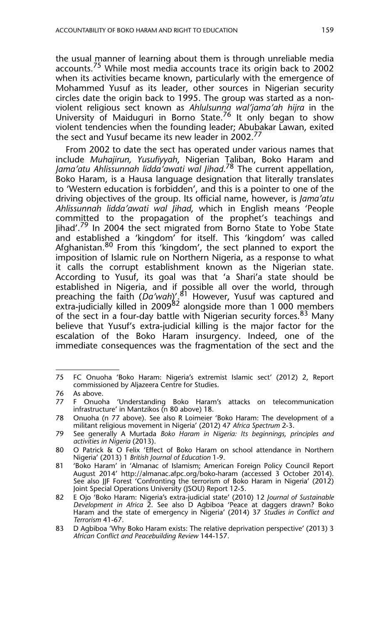the usual manner of learning about them is through unreliable media accounts.<sup>75</sup> While most media accounts trace its origin back to 2002 when its activities became known, particularly with the emergence of Mohammed Yusuf as its leader, other sources in Nigerian security circles date the origin back to 1995. The group was started as a nonviolent religious sect known as *Ahlulsunna wal'jama'ah hijra* in the University of Maiduguri in Borno State.<sup>76</sup> It only began to show violent tendencies when the founding leader; Abubakar Lawan, exited the sect and Yusuf became its new leader in 2002.<sup>77</sup>

From 2002 to date the sect has operated under various names that include *Muhajirun, Yusufiyyah*, Nigerian Taliban, Boko Haram and *Jama'atu Ahlissunnah lidda'awati wal Jihad*. 78 The current appellation, Boko Haram, is a Hausa language designation that literally translates to 'Western education is forbidden', and this is a pointer to one of the driving objectives of the group. Its official name, however, is *Jama'atu Ahlissunnah lidda'awati wal Jihad*, which in English means 'People committed to the propagation of the prophet's teachings and Jihad'.<sup>79</sup> In 2004 the sect migrated from Borno State to Yobe State and established a 'kingdom' for itself. This 'kingdom' was called Afghanistan.<sup>80</sup> From this 'kingdom', the sect planned to export the imposition of Islamic rule on Northern Nigeria, as a response to what it calls the corrupt establishment known as the Nigerian state. According to Yusuf, its goal was that 'a Shari'a state should be established in Nigeria, and if possible all over the world, through preaching the faith (*Da'wah*)'.<sup>81</sup> However, Yusuf was captured and extra-judicially killed in 2009<sup>82</sup> alongside more than 1 000 members of the sect in a four-day battle with Nigerian security forces.<sup>83</sup> Many believe that Yusuf's extra-judicial killing is the major factor for the escalation of the Boko Haram insurgency. Indeed, one of the immediate consequences was the fragmentation of the sect and the

<sup>75</sup> FC Onuoha 'Boko Haram: Nigeria's extremist Islamic sect' (2012) 2, Report commissioned by Aljazeera Centre for Studies.

<sup>76</sup> As above.

<sup>77</sup> F Onuoha 'Understanding Boko Haram's attacks on telecommunication infrastructure' in Mantzikos (n 80 above) 18.

<sup>78</sup> Onuoha (n 77 above). See also R Loimeier 'Boko Haram: The development of a militant religious movement in Nigeria' (2012) 47 *Africa Spectrum* 2-3.

<sup>79</sup> See generally A Murtada *Boko Haram in Nigeria: Its beginnings, principles and activities in Nigeria* (2013).

<sup>80</sup> O Patrick & O Felix 'Effect of Boko Haram on school attendance in Northern Nigeria' (2013) 1 *British Journal of Education* 1-9.

<sup>81 &#</sup>x27;Boko Haram' in 'Almanac of Islamism; American Foreign Policy Council Report August 2014' http://almanac.afpc.org/boko-haram (accessed 3 October 2014). See also JJF Forest 'Confronting the terrorism of Boko Haram in Nigeria' (2012) Joint Special Operations University (JSOU) Report 12-5.

<sup>82</sup> E Ojo 'Boko Haram: Nigeria's extra-judicial state' (2010) 12 *Journal of Sustainable Development in Africa* 2. See also D Agbiboa 'Peace at daggers drawn? Boko Haram and the state of emergency in Nigeria' (2014) 37 *Studies in Conflict and Terrorism* 41-67.

<sup>83</sup> D Agbiboa 'Why Boko Haram exists: The relative deprivation perspective' (2013) 3 *African Conflict and Peacebuilding Review* 144-157.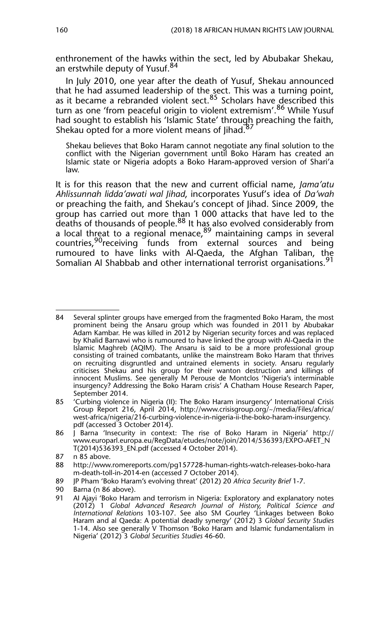enthronement of the hawks within the sect, led by Abubakar Shekau, an erstwhile deputy of Yusuf.<sup>84</sup>

In July 2010, one year after the death of Yusuf, Shekau announced that he had assumed leadership of the sect. This was a turning point, as it became a rebranded violent sect.  $85$  Scholars have described this turn as one 'from peaceful origin to violent extremism'.<sup>86</sup> While Yusuf had sought to establish his 'Islamic State' through preaching the faith, Shekau opted for a more violent means of lihad.<sup>87</sup>

Shekau believes that Boko Haram cannot negotiate any final solution to the conflict with the Nigerian government until Boko Haram has created an Islamic state or Nigeria adopts a Boko Haram-approved version of Shari'a law.

It is for this reason that the new and current official name, *Jama'atu Ahlissunnah lidda'awati wal Jihad*, incorporates Yusuf's idea of *Da'wah* or preaching the faith, and Shekau's concept of Jihad. Since 2009, the group has carried out more than 1 000 attacks that have led to the deaths of thousands of people.<sup>88</sup> It has also evolved considerably from a local threat to a regional menace,  $89$  maintaining camps in several countries,<sup>90</sup>receiving funds from external sources and being rumoured to have links with Al-Qaeda, the Afghan Taliban, the Somalian Al Shabbab and other international terrorist organisations.<sup>91</sup>

89 JP Pham 'Boko Haram's evolving threat' (2012) 20 *Africa Security Brief* 1-7.

<sup>84</sup> Several splinter groups have emerged from the fragmented Boko Haram, the most prominent being the Ansaru group which was founded in 2011 by Abubakar Adam Kambar. He was killed in 2012 by Nigerian security forces and was replaced by Khalid Barnawi who is rumoured to have linked the group with Al-Qaeda in the Islamic Maghreb (AQIM). The Ansaru is said to be a more professional group consisting of trained combatants, unlike the mainstream Boko Haram that thrives on recruiting disgruntled and untrained elements in society. Ansaru regularly criticises Shekau and his group for their wanton destruction and killings of innocent Muslims. See generally M Perouse de Montclos 'Nigeria's interminable insurgency? Addressing the Boko Haram crisis' A Chatham House Research Paper, September 2014.

<sup>85 &#</sup>x27;Curbing violence in Nigeria (II): The Boko Haram insurgency' International Crisis Group Report 216, April 2014, http://www.crisisgroup.org/~/media/Files/africa/ west-africa/nigeria/216-curbing-violence-in-nigeria-ii-the-boko-haram-insurgency. pdf (accessed 3 October 2014).

<sup>86</sup> J Barna 'Insecurity in context: The rise of Boko Haram in Nigeria' http:// www.europarl.europa.eu/RegData/etudes/note/join/2014/536393/EXPO-AFET\_N T(2014)536393\_EN.pdf (accessed 4 October 2014).

<sup>87</sup> n 85 above.

<sup>88</sup> http://www.romereports.com/pg157728-human-rights-watch-releases-boko-hara m-death-toll-in-2014-en (accessed 7 October 2014).

Barna (n 86 above).

<sup>91</sup> AI Ajayi 'Boko Haram and terrorism in Nigeria: Exploratory and explanatory notes (2012) 1 *Global Advanced Research Journal of History, Political Science and International Relations* 103-107. See also SM Gourley 'Linkages between Boko Haram and al Qaeda: A potential deadly synergy' (2012) 3 *Global Security Studies* 1-14. Also see generally V Thomson 'Boko Haram and Islamic fundamentalism in Nigeria' (2012) 3 *Global Securities Studies* 46-60.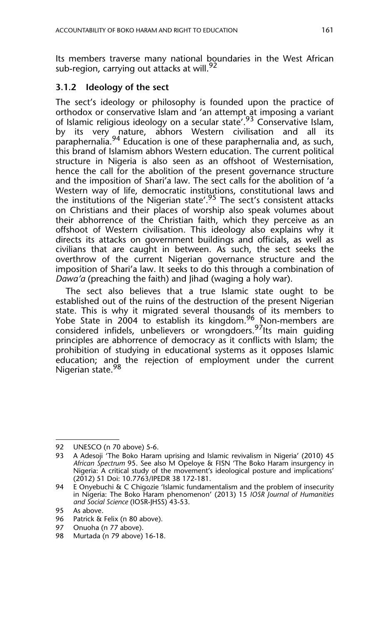Its members traverse many national boundaries in the West African sub-region, carrying out attacks at will.<sup>92</sup>

#### **3.1.2 Ideology of the sect**

The sect's ideology or philosophy is founded upon the practice of orthodox or conservative Islam and 'an attempt at imposing a variant of Islamic religious ideology on a secular state<sup>'</sup>.<sup>93</sup> Conservative Islam, by its very nature, abhors Western civilisation and all its paraphernalia.94 Education is one of these paraphernalia and, as such, this brand of Islamism abhors Western education. The current political structure in Nigeria is also seen as an offshoot of Westernisation, hence the call for the abolition of the present governance structure and the imposition of Shari'a law. The sect calls for the abolition of 'a Western way of life, democratic institutions, constitutional laws and the institutions of the Nigerian state'.<sup>95</sup> The sect's consistent attacks on Christians and their places of worship also speak volumes about their abhorrence of the Christian faith, which they perceive as an offshoot of Western civilisation. This ideology also explains why it directs its attacks on government buildings and officials, as well as civilians that are caught in between. As such, the sect seeks the overthrow of the current Nigerian governance structure and the imposition of Shari'a law. It seeks to do this through a combination of *Dawa'a* (preaching the faith) and Jihad (waging a holy war).

The sect also believes that a true Islamic state ought to be established out of the ruins of the destruction of the present Nigerian state. This is why it migrated several thousands of its members to Yobe State in 2004 to establish its kingdom.<sup>96</sup> Non-members are considered infidels, unbelievers or wrongdoers.<sup>97</sup>lts main quiding principles are abhorrence of democracy as it conflicts with Islam; the prohibition of studying in educational systems as it opposes Islamic education; and the rejection of employment under the current Nigerian state.<sup>98</sup>

<sup>92</sup> UNESCO (n 70 above) 5-6.

<sup>93</sup> A Adesoji 'The Boko Haram uprising and Islamic revivalism in Nigeria' (2010) 45 *African Spectrum* 95. See also M Opeloye & FISN 'The Boko Haram insurgency in Nigeria: A critical study of the movement's ideological posture and implications' (2012) 51 Doi: 10.7763/IPEDR 38 172-181.

<sup>94</sup> E Onyebuchi & C Chigozie 'Islamic fundamentalism and the problem of insecurity in Nigeria: The Boko Haram phenomenon' (2013) 15 *IOSR Journal of Humanities and Social Science* (IOSR-JHSS) 43-53.

<sup>95</sup> As above.

<sup>96</sup> Patrick & Felix (n 80 above).

<sup>97</sup> Onuoha (n 77 above).

<sup>98</sup> Murtada (n 79 above) 16-18.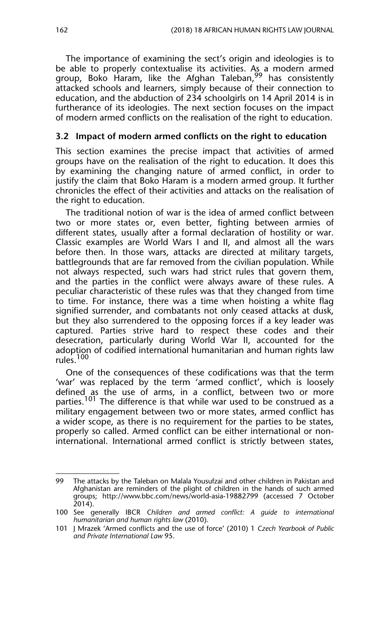The importance of examining the sect's origin and ideologies is to be able to properly contextualise its activities. As a modern armed group, Boko Haram, like the Afghan Taleban, 99 has consistently attacked schools and learners, simply because of their connection to education, and the abduction of 234 schoolgirls on 14 April 2014 is in furtherance of its ideologies. The next section focuses on the impact of modern armed conflicts on the realisation of the right to education.

#### **3.2 Impact of modern armed conflicts on the right to education**

This section examines the precise impact that activities of armed groups have on the realisation of the right to education. It does this by examining the changing nature of armed conflict, in order to justify the claim that Boko Haram is a modern armed group. It further chronicles the effect of their activities and attacks on the realisation of the right to education.

The traditional notion of war is the idea of armed conflict between two or more states or, even better, fighting between armies of different states, usually after a formal declaration of hostility or war. Classic examples are World Wars I and II, and almost all the wars before then. In those wars, attacks are directed at military targets, battlegrounds that are far removed from the civilian population. While not always respected, such wars had strict rules that govern them, and the parties in the conflict were always aware of these rules. A peculiar characteristic of these rules was that they changed from time to time. For instance, there was a time when hoisting a white flag signified surrender, and combatants not only ceased attacks at dusk, but they also surrendered to the opposing forces if a key leader was captured. Parties strive hard to respect these codes and their desecration, particularly during World War II, accounted for the adoption of codified international humanitarian and human rights law rules.<sup>100</sup>

One of the consequences of these codifications was that the term 'war' was replaced by the term 'armed conflict', which is loosely defined as the use of arms, in a conflict, between two or more parties.<sup>101</sup> The difference is that while war used to be construed as a military engagement between two or more states, armed conflict has a wider scope, as there is no requirement for the parties to be states, properly so called. Armed conflict can be either international or noninternational. International armed conflict is strictly between states,

<sup>99</sup> The attacks by the Taleban on Malala Yousufzai and other children in Pakistan and Afghanistan are reminders of the plight of children in the hands of such armed groups; http://www.bbc.com/news/world-asia-19882799 (accessed 7 October 2014).

<sup>100</sup> See generally IBCR *Children and armed conflict: A guide to international humanitarian and human rights law* (2010).

<sup>101</sup> J Mrazek 'Armed conflicts and the use of force' (2010) 1 *Czech Yearbook of Public and Private International Law* 95.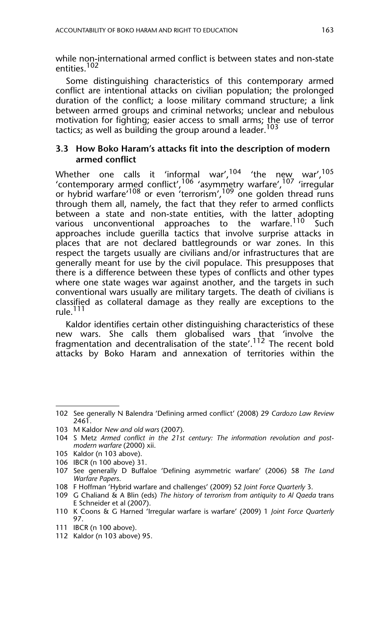while non-international armed conflict is between states and non-state entities.<sup>102</sup>

Some distinguishing characteristics of this contemporary armed conflict are intentional attacks on civilian population; the prolonged duration of the conflict; a loose military command structure; a link between armed groups and criminal networks; unclear and nebulous motivation for fighting; easier access to small arms; the use of terror tactics; as well as building the group around a leader.<sup>103</sup>

#### **3.3 How Boko Haram's attacks fit into the description of modern armed conflict**

Whether one calls it 'informal war', <sup>104</sup> 'the new war', <sup>105</sup> 'contemporary armed conflict',<sup>106</sup> 'asymmetry warfare',<sup>107</sup> 'irregular or hybrid warfare<sup>'108</sup> or even 'terrorism',<sup>109</sup> one golden thread runs through them all, namely, the fact that they refer to armed conflicts between a state and non-state entities, with the latter adopting various unconventional approaches to the warfare.<sup>110</sup> Such approaches include guerilla tactics that involve surprise attacks in places that are not declared battlegrounds or war zones. In this respect the targets usually are civilians and/or infrastructures that are generally meant for use by the civil populace. This presupposes that there is a difference between these types of conflicts and other types where one state wages war against another, and the targets in such conventional wars usually are military targets. The death of civilians is classified as collateral damage as they really are exceptions to the rule. $111$ 

Kaldor identifies certain other distinguishing characteristics of these new wars. She calls them globalised wars that 'involve the fragmentation and decentralisation of the state'.<sup>112</sup> The recent bold attacks by Boko Haram and annexation of territories within the

- 105 Kaldor (n 103 above).
- 106 IBCR (n 100 above) 31.

<sup>102</sup> See generally N Balendra 'Defining armed conflict' (2008) 29 *Cardozo Law Review* 2461.

<sup>103</sup> M Kaldor *New and old wars* (2007).

<sup>104</sup> S Metz *Armed conflict in the 21st century: The information revolution and postmodern warfare* (2000) xii.

<sup>107</sup> See generally D Buffaloe 'Defining asymmetric warfare' (2006) 58 *The Land Warfare Papers*.

<sup>108</sup> F Hoffman 'Hybrid warfare and challenges' (2009) 52 *Joint Force Quarterly* 3.

<sup>109</sup> G Chaliand & A Blin (eds) *The history of terrorism from antiquity to Al Qaeda* trans E Schneider et al (2007).

<sup>110</sup> K Coons & G Harned 'Irregular warfare is warfare' (2009) 1 *Joint Force Quarterly* 97.

<sup>111</sup> IBCR (n 100 above).

<sup>112</sup> Kaldor (n 103 above) 95.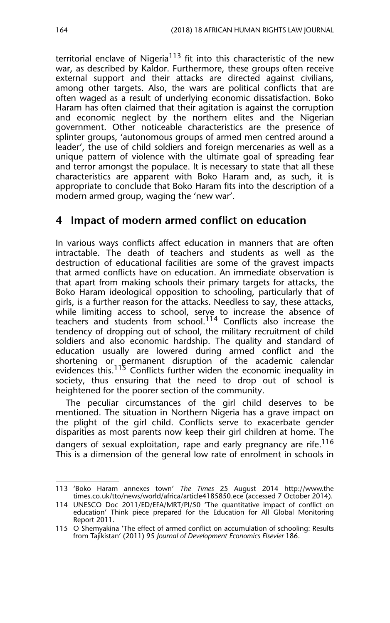territorial enclave of Nigeria<sup>113</sup> fit into this characteristic of the new war, as described by Kaldor. Furthermore, these groups often receive external support and their attacks are directed against civilians, among other targets. Also, the wars are political conflicts that are often waged as a result of underlying economic dissatisfaction. Boko Haram has often claimed that their agitation is against the corruption and economic neglect by the northern elites and the Nigerian government. Other noticeable characteristics are the presence of splinter groups, 'autonomous groups of armed men centred around a leader', the use of child soldiers and foreign mercenaries as well as a unique pattern of violence with the ultimate goal of spreading fear and terror amongst the populace. It is necessary to state that all these characteristics are apparent with Boko Haram and, as such, it is appropriate to conclude that Boko Haram fits into the description of a modern armed group, waging the 'new war'.

## **4 Impact of modern armed conflict on education**

In various ways conflicts affect education in manners that are often intractable. The death of teachers and students as well as the destruction of educational facilities are some of the gravest impacts that armed conflicts have on education. An immediate observation is that apart from making schools their primary targets for attacks, the Boko Haram ideological opposition to schooling, particularly that of girls, is a further reason for the attacks. Needless to say, these attacks, while limiting access to school, serve to increase the absence of teachers and students from school.<sup>114</sup> Conflicts also increase the tendency of dropping out of school, the military recruitment of child soldiers and also economic hardship. The quality and standard of education usually are lowered during armed conflict and the shortening or permanent disruption of the academic calendar evidences this.<sup>115</sup> Conflicts further widen the economic inequality in society, thus ensuring that the need to drop out of school is heightened for the poorer section of the community.

The peculiar circumstances of the girl child deserves to be mentioned. The situation in Northern Nigeria has a grave impact on the plight of the girl child. Conflicts serve to exacerbate gender disparities as most parents now keep their girl children at home. The dangers of sexual exploitation, rape and early pregnancy are rife.<sup>116</sup> This is a dimension of the general low rate of enrolment in schools in

<sup>113 &#</sup>x27;Boko Haram annexes town' *The Times* 25 August 2014 http://www.the times.co.uk/tto/news/world/africa/article4185850.ece (accessed 7 October 2014).

<sup>114</sup> UNESCO Doc 2011/ED/EFA/MRT/PI/50 'The quantitative impact of conflict on education' Think piece prepared for the Education for All Global Monitoring Report 2011.

<sup>115</sup> O Shemyakina 'The effect of armed conflict on accumulation of schooling: Results from Tajikistan' (2011) 95 *Journal of Development Economics Elsevier* 186.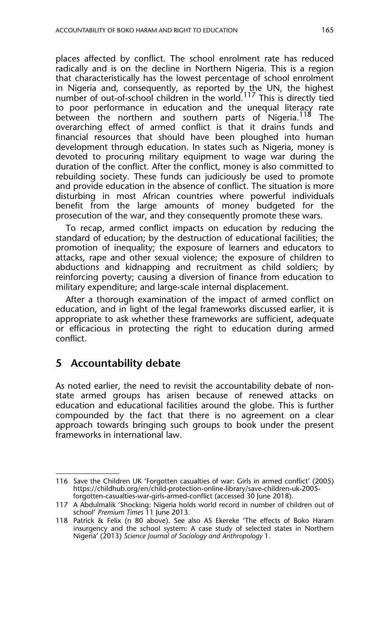places affected by conflict. The school enrolment rate has reduced radically and is on the decline in Northern Nigeria. This is a region that characteristically has the lowest percentage of school enrolment in Nigeria and, consequently, as reported by the UN, the highest number of out-of-school children in the world.<sup>117</sup> This is directly tied to poor performance in education and the unequal literacy rate between the northern and southern parts of Nigeria.<sup>118</sup> The overarching effect of armed conflict is that it drains funds and financial resources that should have been ploughed into human development through education. In states such as Nigeria, money is devoted to procuring military equipment to wage war during the duration of the conflict. After the conflict, money is also committed to rebuilding society. These funds can judiciously be used to promote and provide education in the absence of conflict. The situation is more disturbing in most African countries where powerful individuals benefit from the large amounts of money budgeted for the prosecution of the war, and they consequently promote these wars.

To recap, armed conflict impacts on education by reducing the standard of education; by the destruction of educational facilities; the promotion of inequality; the exposure of learners and educators to attacks, rape and other sexual violence; the exposure of children to abductions and kidnapping and recruitment as child soldiers; by reinforcing poverty; causing a diversion of finance from education to military expenditure; and large-scale internal displacement.

After a thorough examination of the impact of armed conflict on education, and in light of the legal frameworks discussed earlier, it is appropriate to ask whether these frameworks are sufficient, adequate or efficacious in protecting the right to education during armed conflict.

## **5 Accountability debate**

As noted earlier, the need to revisit the accountability debate of nonstate armed groups has arisen because of renewed attacks on education and educational facilities around the globe. This is further compounded by the fact that there is no agreement on a clear approach towards bringing such groups to book under the present frameworks in international law.

<sup>116</sup> Save the Children UK 'Forgotten casualties of war: Girls in armed conflict' (2005) https://childhub.org/en/child-protection-online-library/save-children-uk-2005 forgotten-casualties-war-girls-armed-conflict (accessed 30 June 2018).

<sup>117</sup> A Abdulmalik 'Shocking: Nigeria holds world record in number of children out of school' *Premium Times* 11 June 2013.

<sup>118</sup> Patrick & Felix (n 80 above). See also AS Ekereke 'The effects of Boko Haram insurgency and the school system: A case study of selected states in Northern Nigeria' (2013) *Science Journal of Sociology and Anthropology* 1.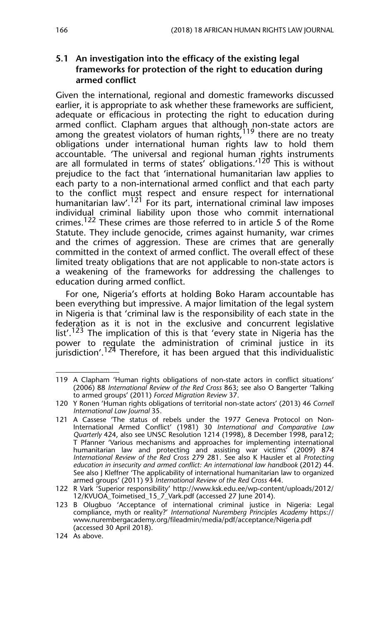#### **5.1 An investigation into the efficacy of the existing legal frameworks for protection of the right to education during armed conflict**

Given the international, regional and domestic frameworks discussed earlier, it is appropriate to ask whether these frameworks are sufficient, adequate or efficacious in protecting the right to education during armed conflict. Clapham argues that although non-state actors are among the greatest violators of human rights,<sup>119</sup> there are no treaty obligations under international human rights law to hold them accountable. 'The universal and regional human rights instruments are all formulated in terms of states' obligations.'<sup>120</sup> This is without prejudice to the fact that 'international humanitarian law applies to each party to a non-international armed conflict and that each party to the conflict must respect and ensure respect for international humanitarian law'.<sup>121</sup> For its part, international criminal law imposes individual criminal liability upon those who commit international crimes.<sup>122</sup> These crimes are those referred to in article 5 of the Rome Statute. They include genocide, crimes against humanity, war crimes and the crimes of aggression. These are crimes that are generally committed in the context of armed conflict. The overall effect of these limited treaty obligations that are not applicable to non-state actors is a weakening of the frameworks for addressing the challenges to education during armed conflict.

For one, Nigeria's efforts at holding Boko Haram accountable has been everything but impressive. A major limitation of the legal system in Nigeria is that 'criminal law is the responsibility of each state in the federation as it is not in the exclusive and concurrent legislative list'.<sup>123</sup> The implication of this is that 'every state in Nigeria has the power to regulate the administration of criminal justice in its  $j$ urisdiction'.<sup>124</sup> Therefore, it has been argued that this individualistic

<sup>119</sup> A Clapham 'Human rights obligations of non-state actors in conflict situations' (2006) 88 *International Review of the Red Cross* 863; see also O Bangerter 'Talking to armed groups' (2011) *Forced Migration Review* 37.

<sup>120</sup> Y Ronen 'Human rights obligations of territorial non-state actors' (2013) 46 *Cornell International Law Journal* 35.

<sup>121</sup> A Cassese 'The status of rebels under the 1977 Geneva Protocol on Non-International Armed Conflict' (1981) 30 *International and Comparative Law Quarterly* 424, also see UNSC Resolution 1214 (1998), 8 December 1998, para12; T Pfanner 'Various mechanisms and approaches for implementing international humanitarian law and protecting and assisting war victims' (2009) 874 *International Review of the Red Cross* 279 281. See also K Hausler et al *Protecting education in insecurity and armed conflict: An international law handbook* (2012) 44. See also J Kleffner 'The applicability of international humanitarian law to organized armed groups' (2011) 93 *International Review of the Red Cross* 444.

<sup>122</sup> R Vark 'Superior responsibility' http://www.ksk.edu.ee/wp-content/uploads/2012/ 12/KVUOA\_Toimetised\_15\_7\_Vark.pdf (accessed 27 June 2014).

<sup>123</sup> B Olugbuo 'Acceptance of international criminal justice in Nigeria: Legal compliance, myth or reality?' *International Nuremberg Principles Academy* https:// www.nurembergacademy.org/fileadmin/media/pdf/acceptance/Nigeria.pdf (accessed 30 April 2018).

<sup>124</sup> As above.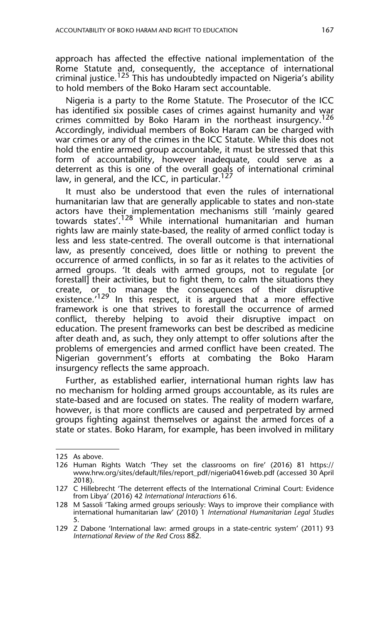approach has affected the effective national implementation of the Rome Statute and, consequently, the acceptance of international criminal justice.<sup>125</sup> This has undoubtedly impacted on Nigeria's ability to hold members of the Boko Haram sect accountable.

Nigeria is a party to the Rome Statute. The Prosecutor of the ICC has identified six possible cases of crimes against humanity and war crimes committed by Boko Haram in the northeast insurgency.<sup>126</sup> Accordingly, individual members of Boko Haram can be charged with war crimes or any of the crimes in the ICC Statute. While this does not hold the entire armed group accountable, it must be stressed that this form of accountability, however inadequate, could serve as a deterrent as this is one of the overall goals of international criminal law, in general, and the ICC, in particular.<sup>127</sup>

It must also be understood that even the rules of international humanitarian law that are generally applicable to states and non-state actors have their implementation mechanisms still 'mainly geared towards states'.128 While international humanitarian and human rights law are mainly state-based, the reality of armed conflict today is less and less state-centred. The overall outcome is that international law, as presently conceived, does little or nothing to prevent the occurrence of armed conflicts, in so far as it relates to the activities of armed groups. 'It deals with armed groups, not to regulate [or forestall] their activities, but to fight them, to calm the situations they create, or to manage the consequences of their disruptive existence.'<sup>129</sup> In this respect, it is argued that a more effective framework is one that strives to forestall the occurrence of armed conflict, thereby helping to avoid their disruptive impact on education. The present frameworks can best be described as medicine after death and, as such, they only attempt to offer solutions after the problems of emergencies and armed conflict have been created. The Nigerian government's efforts at combating the Boko Haram insurgency reflects the same approach.

Further, as established earlier, international human rights law has no mechanism for holding armed groups accountable, as its rules are state-based and are focused on states. The reality of modern warfare, however, is that more conflicts are caused and perpetrated by armed groups fighting against themselves or against the armed forces of a state or states. Boko Haram, for example, has been involved in military

<sup>125</sup> As above.

<sup>126</sup> Human Rights Watch 'They set the classrooms on fire' (2016) 81 https:// www.hrw.org/sites/default/files/report\_pdf/nigeria0416web.pdf (accessed 30 April 2018).

<sup>127</sup> C Hillebrecht 'The deterrent effects of the International Criminal Court: Evidence from Libya' (2016) 42 *International Interactions* 616.

<sup>128</sup> M Sassoli 'Taking armed groups seriously: Ways to improve their compliance with international humanitarian law' (2010) 1 *International Humanitarian Legal Studies* 5.

<sup>129</sup> Z Dabone 'International law: armed groups in a state-centric system' (2011) 93 *International Review of the Red Cross* 882.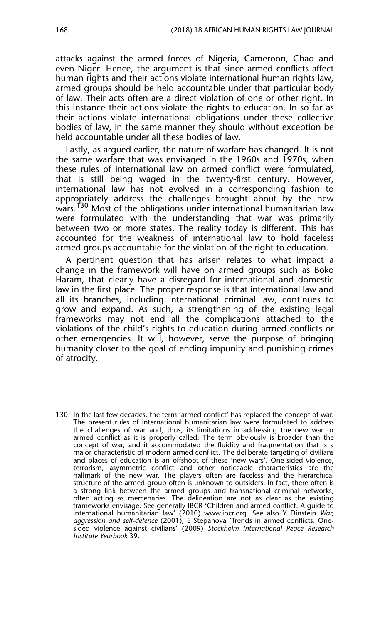attacks against the armed forces of Nigeria, Cameroon, Chad and even Niger. Hence, the argument is that since armed conflicts affect human rights and their actions violate international human rights law, armed groups should be held accountable under that particular body of law. Their acts often are a direct violation of one or other right. In this instance their actions violate the rights to education. In so far as their actions violate international obligations under these collective bodies of law, in the same manner they should without exception be held accountable under all these bodies of law.

Lastly, as argued earlier, the nature of warfare has changed. It is not the same warfare that was envisaged in the 1960s and 1970s, when these rules of international law on armed conflict were formulated, that is still being waged in the twenty-first century. However, international law has not evolved in a corresponding fashion to appropriately address the challenges brought about by the new wars.<sup>130</sup> Most of the obligations under international humanitarian law were formulated with the understanding that war was primarily between two or more states. The reality today is different. This has accounted for the weakness of international law to hold faceless armed groups accountable for the violation of the right to education.

A pertinent question that has arisen relates to what impact a change in the framework will have on armed groups such as Boko Haram, that clearly have a disregard for international and domestic law in the first place. The proper response is that international law and all its branches, including international criminal law, continues to grow and expand. As such, a strengthening of the existing legal frameworks may not end all the complications attached to the violations of the child's rights to education during armed conflicts or other emergencies. It will, however, serve the purpose of bringing humanity closer to the goal of ending impunity and punishing crimes of atrocity.

<sup>130</sup> In the last few decades, the term 'armed conflict' has replaced the concept of war. The present rules of international humanitarian law were formulated to address the challenges of war and, thus, its limitations in addressing the new war or armed conflict as it is properly called. The term obviously is broader than the concept of war, and it accommodated the fluidity and fragmentation that is a major characteristic of modern armed conflict. The deliberate targeting of civilians and places of education is an offshoot of these 'new wars'. One-sided violence, terrorism, asymmetric conflict and other noticeable characteristics are the hallmark of the new war. The players often are faceless and the hierarchical structure of the armed group often is unknown to outsiders. In fact, there often is a strong link between the armed groups and transnational criminal networks, often acting as mercenaries. The delineation are not as clear as the existing frameworks envisage. See generally IBCR 'Children and armed conflict: A guide to international humanitarian law' (2010) www.ibcr.org. See also Y Dinstein *War, aggression and self-defence* (2001); E Stepanova 'Trends in armed conflicts: Onesided violence against civilians' (2009) *Stockholm International Peace Research Institute Yearbook* 39.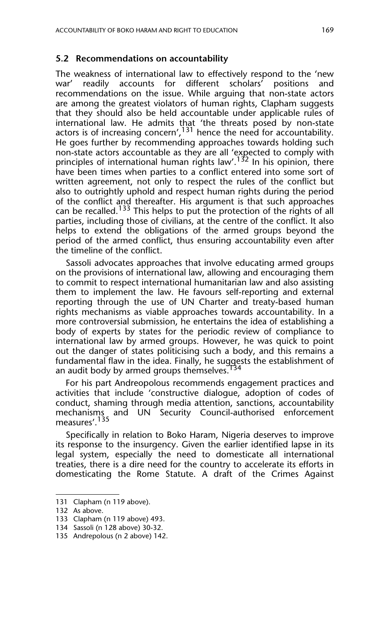#### **5.2 Recommendations on accountability**

The weakness of international law to effectively respond to the 'new war' readily accounts for different scholars' positions and recommendations on the issue. While arguing that non-state actors are among the greatest violators of human rights, Clapham suggests that they should also be held accountable under applicable rules of international law. He admits that 'the threats posed by non-state actors is of increasing concern',  $131$  hence the need for accountability. He goes further by recommending approaches towards holding such non-state actors accountable as they are all 'expected to comply with principles of international human rights law'.<sup>132</sup> In his opinion, there have been times when parties to a conflict entered into some sort of written agreement, not only to respect the rules of the conflict but also to outrightly uphold and respect human rights during the period of the conflict and thereafter. His argument is that such approaches can be recalled.<sup>133</sup> This helps to put the protection of the rights of all parties, including those of civilians, at the centre of the conflict. It also helps to extend the obligations of the armed groups beyond the period of the armed conflict, thus ensuring accountability even after the timeline of the conflict.

Sassoli advocates approaches that involve educating armed groups on the provisions of international law, allowing and encouraging them to commit to respect international humanitarian law and also assisting them to implement the law. He favours self-reporting and external reporting through the use of UN Charter and treaty-based human rights mechanisms as viable approaches towards accountability. In a more controversial submission, he entertains the idea of establishing a body of experts by states for the periodic review of compliance to international law by armed groups. However, he was quick to point out the danger of states politicising such a body, and this remains a fundamental flaw in the idea. Finally, he suggests the establishment of an audit body by armed groups themselves.<sup>134</sup>

For his part Andreopolous recommends engagement practices and activities that include 'constructive dialogue, adoption of codes of conduct, shaming through media attention, sanctions, accountability mechanisms and UN Security Council-authorised enforcement measures'.<sup>135</sup>

Specifically in relation to Boko Haram, Nigeria deserves to improve its response to the insurgency. Given the earlier identified lapse in its legal system, especially the need to domesticate all international treaties, there is a dire need for the country to accelerate its efforts in domesticating the Rome Statute. A draft of the Crimes Against

<sup>131</sup> Clapham (n 119 above).

<sup>132</sup> As above.

<sup>133</sup> Clapham (n 119 above) 493.

<sup>134</sup> Sassoli (n 128 above) 30-32.

<sup>135</sup> Andrepolous (n 2 above) 142.